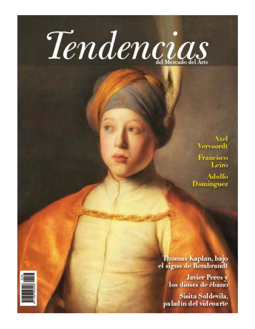# Tendencias

Axel **Vervoordt** Francisco Leiro

**Adolfo** Dominguez

Thomas Kaplan, bajo el signo de Rembrandt

Javier Peres y<br>los dioses de ébano

Sisita Soldevila, paladín del videoarte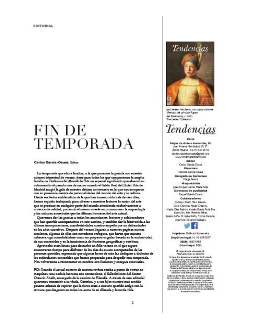**EDITORIAL** 

## FIN DE **TEMPORADA**

Carlos García-Osuna Editor

La temporada que abora finaliza, a la que ponemos la guinda oco nuestro número trimestral de verano, tiene para todos los que componemos la amplia.<br>familia de Teolonias del Mensile del Astr un especial significado que alcanzó su colminación el pasado mes de marco cuando el Salón Raal dal Hotel Rits de Madrid acogió la gala de nuestro décimo aniversario en la que nos arroparon.<br>con su presencia cientos de personalidades del mundo del arte y la cultura. Desde esa fecha emblecutária de la que han transcurrido més de cien dúes, hemos esguido trabajando para ofrecer a nuestros lectores lo mejor del arte que se produce en cualquier parte del mundo atendiendo exclusivamente a<br>oriterios de calidad, pontendo el mismo interés en promocionar la arqueología y las culturas ancestrales que las tiltimas fronteras del arte actual.

Queremos der las grazias a todos los anunciantes, leotores y colaboradores que han quendo acompañarnos en este camino, y también dar la bienvenida a las ditimas incorporaciones, manifestándoles nuestro empeño por no defraudarles en los años especivos. Después del verano llegarán a muestras páginas nuevas escriones, algunas de ellas con novedosos enfoques, que hanta que nuestra. cabecera uga consolidandose como un proyecto eingular basado en la exclusividad de una contenidos y en la inexistencia de fronteras geográficas y estéticas.

Aprovecho estas lineas para desearles un felix verano en el que seguro encontrarán tiempo para disfrutar de los días de asueto acompañados de las sevonas quaridas, esperando que algunas horas de osio las dediquen a disfrutar de los estimulantes contenidos que hemos preparado para despedir esta temporada. Nos volveranos a reencontrar en octubre con ilusiones y energías renovadas.

PD: Ocando el astual número de muestra revista estaba a punto de entrar en méquines, una noticia luctuous nos conmocions, el fallecimiento del doctor Ootavio Abalit, encargado de la sección de Filatelia. A través de este editorial querenos transmitir a su viuda, Carmina, y a sus hijos nuestro más sentido péusne además de seperar que la tierra trate a nuestro querido amigo con la ternura que desgrand en todos los aotos de su dilateda y fecunda vida.



Jan Lievens. Machothe con capo y tuchoste Petrolo del principe Rupert del Paladinado), c. 1631. The Leden Collection

### Tendencias

#### Edita

Hojat de Arte e Inversión, SL kan Alvanne Mendedog 63, 7 20000 Hadrid -Tel 91 541 89 93 and BangBeberrachdan and reserve mountendendagdelans.com

Editor

Carlos Garda-David Directors Valenza Garda-Chuna Delegada en Barcelona **Hanga Peneral Magustación Lan Endoue Garda Harla Arizo** Directors de publicidad Raguel Garola Cruina Colaboradores Details Abdil Plate Balovin. Osial Carreras North Charres Hatia: Dila Padrdo, Amala Garda Ruta, Eva Lasundón, inés Marsines Ribas Beach: Niño, M. Isabel Niño, Tomás Rarecies, Ara Vice, Rosaled Williams



Imprime: Gräca Horsensins Depósito legal: M. 10.459-2007

> ISSN: 1007-5403 Distribuye: 9561

O Hoja de Aria e Interalio, SL **Reservative today for derechos** for detail daily disputes and articles that \$1.4 piecelal registe, di latan de Projectal Arab Mal, conta<br>Latansana politika la registerata, la divisionale<br>La monachia del la registerata, la divisionale<br>La digentifica del la registerata del la registerata<br>Tendence del la registera

a salipier operte) per maigale audio titulos, de<br>Latinisable entidade Pitja de Arte elemento, B. Tankania, katifanake dahibiswa na kasa na pinakis dali<br>katika masilatany dalia mpikami motifa partin salamo

 $\label{eq:2}$  and<br>photology probability as a completely by probability of the fields of<br>a chief Photological delivery as a component of the control of the<br>probability of the publical component of the control of the control<br>pr In experimentation.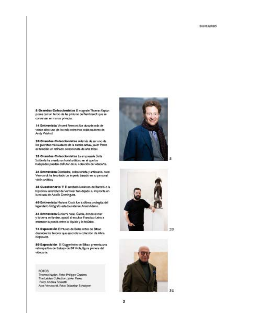& Grandes Coleccionistas B magrate Thomas Kaplan posse cari un tercio de las pinturas de Rembrandt que se conservan en manos privadas.

14 Entrevista Vnoest Frenost fue durante más de veinte años uno de los más estrechos colaboradores de Andy Warhol,

10 Grandes Coleccionistas Adenás de ser uno de los galeristas más audaces de la escena actual, juvier Peres es también un refinado coleccionida de arte tribal.

18 Grandes Coleccionistas La engresaria Sinta Soldevila ha creado un hotel artístico en el que los huéspedes pueden disfrutar de su colección de videoarte.

34 Entrevista Diseñador, coleccionida y anticuario, Axel Vervoordt ha levantado un imperio basado en su personal visión artística.

38 Cuestionario T E arrebato luminoso de Barceló o la hipnótica serenidad de Vermeer han dejado su impronta en la mitada de Adolfo Dominguez.

40 Entreviata Mariana Cock fue la última protegida del legendario fotógrafo estadounidense Ansel Adams.

44 Entrevista Sutiera naial Galcia, donde el mar y la tierra se funden, ayudó al escultor Francisco Leiro a entender la poesía entre lo líquido y lo telúnico.

74 Exposición El Muso de Belas Artes de Bibac descubre los tesoros que esconde la colección de Alicia Koplowitz.

80 Exposición 8 Gugenheim de Bibao presenta una retrospectiva del trabajo de Bill Viola, figura pionera del videoarte.







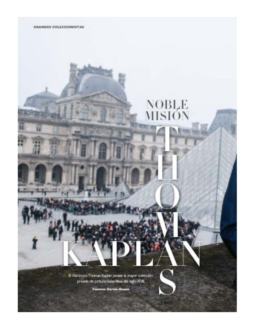

# NOBLE<br>MISIÓN

E filártropo Thomas Kaplan posee la mayor colección privada de pintura holandesa del siglo XVII.

Vanessa García-Osuna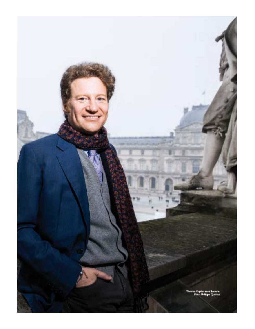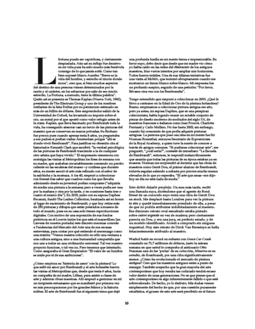despiadada. Aún así su influjo fue decisivo en mi vida pues ha sido mucho más benévola conmigo de lo que jamás soñá. Como tan bien expresó Marco Aurelio: "Boeve es la vida del hombre, y estrecho el rincón donde mora", creo que, si bien muchos aspectos del destino de una persona vienen determinados por la razón y el carácter, en los esfuerzos por salir de ese rincón estrecho, La Fortuna, a menudo, tiene la última palabra". Quién así se presenta es Thomas Kaplan (Nueva York, 1962). presidente de The Electrum Group y uno de los nombres rutilantes de la lista Forbes por su patrimonio estimado en más de un billón de dólares. Este emprendedor salido de la Universidad de Oxford, ha levantado su imperio sobre el oro, un metal por el que apostó como valor refugio antes de la crisis. Kaplan, que lleva fascinado por Rembrandt toda la vida, ha conseguido atesorar casi un tercio de las pinturas del maestro que se conservan en manos privadas. Su flechazo fue precoz pues cuando apenas tenia 8 años, ya preguntaba a sus padres si podian visitar Amsterdam porque "ahi es donde vivió Rembrandt". Para justificar su obsesión cita al historiador Kenneth Clark que escribió: "la verdad peicológica de las pinturas de Rembrandt trasciende a la de cualquier otro artista que haya vivido." El empresario rememora con nostalgia las visitas al Metropolitan los fines de semana con su madre, que acababan invariablemente comiendo un perrito caliente en las escaleras del museo-y confiesa que durante años, su mente asoció el arte más refinado con el sabor de la salchicha y la mostaza. A los 40, empezó a coleccionar con frenesi tras saber que cuadros como los que llevaba admirando desde su juventud podian comprarse ("adquiria de media una pintura a la semana; pero a veces podía ser una por la mañana y otra por la tarde, y en ocasiones hasta tres o<br>cuatro el mismo día"). En 2003, junto con su esposa Daphne Recanati, fundó The Leiden Collection, bautizada así en honor al lugar de nacimiento de Rembrandt, y que hoy reúne más de 250 pinturas y dibujos que están prestados a museos de todo el mundo, pues en su casa solo tienen reproducciones digitales. Con motivo de una exposición de sus fondos pictóricos en el Louvre (entre los que está el maravilloso Jan Lievens de nuestra portada) este discreto mecenas concede a Tendencias del Mercado del Arte una de sus escasas entrevistas, para contar por qué entiende el mecenango como una misión: "Ventos nuestra colección no sólo una ventana a una cultura antigua, sino a una humanidad compartida que nos une a todos en una civilización universal. Tal vez nuestro proyecto funcione, o tal vez no. Pero tenemos que intentario.<br>Como aseguraba el Gran Emperador: "El valor de un hombre se mide por el de sus ambiciones".

fortuna puede ser caprichosa, y ciertamente

¿Cómo empieza su 'historia de amor' con la pintura? Lo que selló mi amor por Rembrandt y el arte holandés fueron las visitas al Metropolitan que, desde que tenia 6 años, hacia en compañía de mi madre, Lillian, para asistir a clases de arte y admirar obras maestras. Ahi empezó a germinar en mi un incipiente entusiasmo que se manifestó por primera vez en mis preocupaciones por los grandes felinos y la historia militar. El arte de Rembrandt fue el siguiente tema que dejó

una profunda huella en mi mente tierna e impresionable. En favor suyo, debo decir que desde que mi madre vio cómo yo habia caido en las redes del chiaroscuro de los antiguos maestros, hizo varios intentos por ampliar mis horizontes. Todos fueron inútiles. Una de sus últimas tentativas fue una visita al MoMA, que terminó abruptamente cuando me mostraron un lienzo blanco sobre blanco. Mi respuesta fue un profundo suspiro, seguido de una petición: "Por favor, Ilévame otra vez con los Rembrandts".

Tengo entendido que empezó a coleccionar en 2003. ¿Qué le llevo a centrarse en la Edad de Oro de la pintura holandesa? Bueno, empezamos a coleccionar pintura antigua ese año, pero ya antes, mi esposa Daphne, que es una perspicaz coleccionista, había logrado reunir un notable conjunto de piezas de diseño moderno de mediados del siglo XX, de maestros franceses e italianos como Jean Prouvé. Charlotte Perriand y Carlo Mollino. No fue hasta 2003, sin embargo, cuando fui consciente de que podía adquirir pinturas antiguas. La persona que puso esa idea en mi mente fue Sir Norman Rosenthal, entonces Secretario de Exposiciones de la Royal Academy, a quien tuve la suerte de conocer a través de amigos comunes. "Si pudieras coleccionar arte", me preguntó, "¿cuál sería?", contesté de immediato: "La Escuela de Rembrandt", entonces, le respondi melancólicamente que asumía que todas las pinturas de su época estaban ya en museos. Norman me sorprendió al decirme que las obras de maestros como Gerrit Dou, el primer alumno de Rembrandt, todavía seguian saliendo a subasta por precios mucho menos elevados de lo que yo esperaba. "El arte que amas -me dijohoy en día no está nada de moda."

Esto debió dejarle perplejo. Un mes más tarde, recibi una llamada suya, diciéndome que el agente de Bond Street de un conocido suyo tenia una obra de Gerrit Dou en stock. Me desplacé hasta Londres para ver la pintura it situ y quedé inmediatamente prendado de ella, a pesar de que no podría atribuirse indubitadamente al maestro. Ese diminuto retrato oval esmaltado estaba pintado sobre cuitre argentée en vez de madera; pero ciertamente parecia un Dou, y era una joya, en perfecto estado, y de un modelo identificado. Accedi a comprarlo sin ninguna inquietud. Hoy este retrato de Dirck Van Beresteyn se halla fehacientemente atribuido al maestro.

Warhol batió su record en subasta con Green Car Crash rematado en 71,7 millones de dólares, justo la misma semana en que usted le compraba al anticuario Otto Nauman una de las 'perlas' de su colección, Mineroa en su estudio, de Rembrandt, por una cifra significativamente menor. ¿Cómo ha evolucionado el mercado de pintura antigua? Creo que los maestros antiguos están a punto de resurgir. También sospecho que la gran mayoría del arte contemporáneo que hoy resulta tan codiciado tendrá escaso valor dentro de unas generaciones. No es que pienae que el arte contemporáneo es algo inherentemente fallido o que esté sobrevalorado. De hecho, yo lo disfruto. Mis dudas vienen simplemente del hecho de que, por una cuestión puramente estadística, el grueso de este arte será percibido en el futuro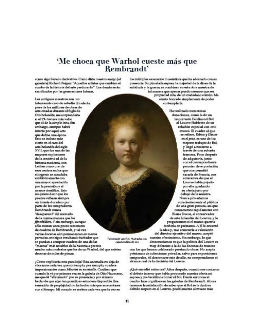#### 'Me choca que Warhol cueste más que Rembrandt'

como algo banal o derivativo. Como dirla nuestro antigo [el galerista] Richard Feigen: "Aquellos artistas que cambien el rumbo de la historia del arte perdurarán". Los demás serán sacrificados por las generaciones futuras.

Los antiguos maestros son un interesante caso de estudio. En efecto, pues de los millones de obras de arte creadas durante el Siglo de Oro holandée, me eorprendería si el 1% tuviera más valor que el de la simple leña. Sin embargo, sismpre habrà interés por aquel arte que define una época. listo es incluso más cierto en el caso del arte holandés del siglo XVII, que fue una de las mayores explosiones de la creatividad de la historia moderna, con Leiden como uno de eapa centros en los que el ingenio se mezclaba simbióticamente con. una mayor apreciación por la precisión y el avance científico. Esto no quiere decir que los precios reflejen siempre un interée duradero por<br>parte de los compradores. Rembrandt nunca

'desapareció' del mercado de la misma manera que los fijnschilders. Y sin embargo, sunque sólo existan unos pocos centenares de cuadros de Rembrandt, y tal vez varias docenas aún permanezcan en manos privadas, me sigue resultando turbador que se puedan a comprar cuadros de una de las "marcas" más notables de la historia a precios

mucho más modestos que los de un Warhol, del que existen decenas de miles de piezas.

¿Cómo explicaria esta paradoja? Esta anomalía no deja de chocamte cada vez que contemplo, por ejemplo, cuadros impresionantes como Minerta en su estudio. Confieso que cuando la vi por primera vez en la galeria de Otto Naumann, me quedé "abrumado" por su presencia y por el mero hecho de que algo tan grandioso estuviera disponible. Esa sensación de perplejidad no ha hecho más que acrecentarse con el tiempo. Mi conazón se acelera cada vez que la vec en

los múltiples escenarios museísticos que ha adornado con su presencia. Su pincelada espesa, la majestad de la dicea de la sabiduria y la guerra, se combinan en esta obra maestra de

tal manera que apenas puedo creemte que sea propiedad mia, de un ciudadano común. Me siento honrado simplemente de poder contemplaria.

Ha realizado numerosas donaciones, como la de un importante Ferdinand Bel al Louvre Hableme de su relación especial con este muses. El cuadro al que se refiere, Rebect y Eliszer ex el puna, es uno de los mejores trabajos de Bol. y llegó a nosotros a través de una subasta francesa. Poco después de adquirirla, junto con el correspondiente permiso de exportación que nos permitió sacarla de Francia, nos enteramos de que el Louvre habia pujado por ella quedando su oferta justo por debajo de la nuestra. Nunca privariamos conscientemente al público de una gran pintura, así que contactamos rápidamente con Blaise Ducos, el conservador de arte holandés del Louvre, y le preguntamos si el museo querría recibirla en préstamo. A él le encantó la idea y, tras someterla a valoración del director ejecutivo del museo, aceptó

Rembrandt van Rijn, Muchadra con capa hordada de oro

> muy diferente a la de las docenas de museos con los que hemos colaborado prestando obras. No acepta préstamos de colecciones privadas, salvo para exposiciones temporales. Al desconocer este detalle, no comprendimos el alcance real de la decisión del Louvre.

nuestro ofrecimiento. Sin embargo, lo que

desconociamos es que la política del Louvre es

¿Qué sucedió entonces? Años después, cuando nos contaron el debate interno que había provocado nuestra oferta mi esposa y yo decidimos donar el Bol. Desde entonces el cuadro luce orgulloso en las galerias de Rembrandt. Ahora tenemos la satisfacción de saber que al Bol se le dará su<br>debido respeio en el Louvre, posiblemente el museo más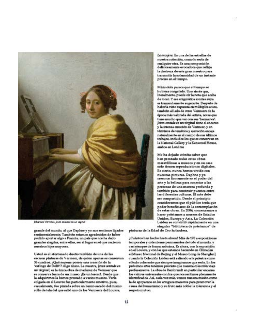

Johannes Ventreer, Joven sensado en un veginal

grande del mundo, al que Daphne y yo nos sentimos ligados sentimentalmente. También estamos agradecidos de haber podido aportar algo a Francia, un país que nos ha dado grandes alegrías, entre ellas, ser el lugar en el que nacieron nuestros hijos mayores.

Usted es el afortunado dueño también de una de las escasas pinturas de Vermeer, de quien apenas se conservan 36 cuadros. ¿Qué supone poseer una creación de la 'esfinge de Delft'? Algo único. La nuestra, joute sentada en an térgiusi, es la única obra de madurez de Vermeer que se conserva fuera de un museo. ¡Es un tesoro!. Desde que<br>la adquirimos la hemos prestado a varios museos. Verla colgada en el Louvre fue particularmente emotivo, pues, casualmente, fue pintada sobre un lienzo sacado del mismo rollo de tela del que salió uno de los Vermeers del Louvre,

Le excajere. Es una de las estrellas de nuestra colección, como lo seria de cualquier otra. Es una composición deliciosamente evocadora que refleja la destreza de este gran maestro para transmitir la solemnidad de un instante preciso en el tiempo.

Mirándola parece que el tiempo se hubiera congelado. Uno siente que, literalmente, puede oir la nota que acaba de tocar. Y esa enigmática sonrisa suya es tremendamente sugerente. Después de haberla visto expuesta en múltiples sitios, también al lado de otros Vermeers de la época más valorada del artista, notas que tiene mucho que ver con sus 'hermanos'. jouen sentade en un pirginel tiene el encanto y la intensa emoción de Vermeer, y en términos de temética y ejecución encaja naturalmente en el cuerpo de sus últimos trabajos, incluidos los que se conservan en la National Gallery y la Kenwood House, ambos en Landres

Me ha dejado atónita saber que han prestado todas estas obras maravillosas a museos y en su casa solo tienen reproducciones digitales. Es cierto, nunca hemos vivido con nuestras pinturas. Daphne y yo creemos firmemente en el poder del arte y la belleza para conectar a las personas de una manera profunda y también para construir puentes entre<br>las diferentes culturas. El arte debe ser compartido. Desde el principio consideramos que el público tenia que poder beneficiarse de la contemplación de estas obras. En 2004, comenzamos a hacer préstamos a museos de Estados Unidos, Europa y Asia. La Coleoción Leiden se convirtió rápidamente en una singular "biblioteca de préstamos" de

pinturas de la Edad de Oro holandesa.

¿Cuántos han hecho hasta ahora? Más de 170 a exposiciones temporales y colecciones permanentes de todo el mundo, y casi siempre de forma anónima. Es ahora, con la exposición en el Louvre, y con las que estamos haciendo en China [en el Museo Nacional de Beijing y el Museo Long de Shanghai] cuando la Colección Leiden está saliendo a la paleetra como el todo coherente que elempre imaginamos que seria. En los próximos años tenemos previeto que nuestra colección viaje profusamente. La obra de Rembrandt en particular encama los valores universales con los que nos sentimos plenamente identificados. Así, cada vez más, vemos nuestra misión como la de apoyarnos en los antiguos maestros para promover la causa del humanismo y su fruto más noble: la tolerancia y el respeto mutuo.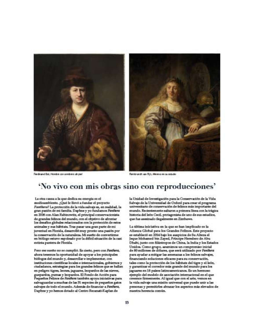

Ferdinand Bol, Hordue can sombrers de part

Rembrandt van Rijn, Alsenne en su estudio

#### 'No vivo con mis obras sino con reproducciones'

La otra causa a la que dedica su energia es el medioambiente. ¿Qué le llevó a fundar el proyecto Panthrea? La protección de la vida salvaje es, en realidad, la<br>gran pasión de mi familia. Daphne y yo fundamos Panthre en 2006 con Alan Rabinowitz, el principal conservacionista de grandes felinos del mundo, con el objetivo de afrontar los desaflos globales relacionados con la protección de estos animales y sus hábitais. Tras pasar una gran parte de mi juventud en Florida, desarrollé muy pronto una pasión por la conservación de la naturaleza. Mi sueño de convertirme en biólogo estuvo espoleado por la dificil situación de la casi extinta pantera de Florida.

Pero ese sueño no se cumplió. Es cierto, pero con Panthera, ahora tenemos la oportunidad de apoyar a los principales biólogos del mundo y, desarrollar e implementar, con instituciones científicas locales e internacionales, gobiernos y ciudadanos, estrategias para los grandes felinos que se hallan en peligro: tigres, leones, jaguares, leopardos de las nieves, guepardos, pumas y leopardos. El Fondo de Acción para<br>Pequeños Felinos de Paufara también apoya iniciativas para salvaguardar a muchas de las 31 especies de pequeños gatos salvajes de todo el mundo. Además de financiar a Panthera, Daphne y yo hemos dotado al Centro Recanati-Kaplan de

la Unidad de Investigación para la Conservación de la Vida Salvaje de la Universidad de Oxford para crear el programa universitario de conservación de felinos más importante del mundo. Recientemente saltaron a primera linea con la trágica historia del león Cecil, protagonista de uno de sus estudios, que fue asesinado ilegalmente en Zimbawe.

La última iniciativa en la que se han implicado es la Alianza Global para los Grandes Felinos. Este proyecto se estableció en 2014 bajo los auspicios de Su Alteza el Jeque Mohamed bin Zayed, Principe Heredero de Abu Dhabi, junto con filántropos de China, la India y los Estados Unidos. Como grupo, asumimos un compromiso inicial de 80 millones de dólares, que será utilizado por Pauthera para syudar a mitigar las amenazas a los felinos salvajes, financiando soluciones eficaces para su conservación, tales como la protección de los hábitats del tigre y el león, y garantizar el corredor más grande del mundo para los jaguares en 18 países latinoamericanos. Es un hermoso ejemplo del modelo de asociación internacional en el que creemos firmemente. Al igual que con el arte, vemos en la vida salvaje una misión universal que puede unir a las personas y permitirles abrazar los aspectos más elevados de nuestra hecencia común.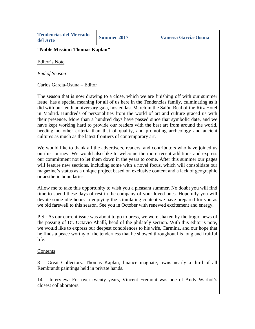|          | <b>Tendencias del Mercado</b> |
|----------|-------------------------------|
| del Arte |                               |

**"Noble Mission: Thomas Kaplan"**

Editor's Note

*End of Season*

Carlos García-Osuna – Editor

The season that is now drawing to a close, which we are finishing off with our summer issue, has a special meaning for all of us here in the Tendencias family, culminating as it did with our tenth anniversary gala, hosted last March in the Salón Real of the Ritz Hotel in Madrid. Hundreds of personalities from the world of art and culture graced us with their presence. More than a hundred days have passed since that symbolic date, and we have kept working hard to provide our readers with the best art from around the world, heeding no other criteria than that of quality, and promoting archeology and ancient cultures as much as the latest frontiers of contemporary art.

We would like to thank all the advertisers, readers, and contributors who have joined us on this journey. We would also like to welcome the more recent additions and express our commitment not to let them down in the years to come. After this summer our pages will feature new sections, including some with a novel focus, which will consolidate our magazine's status as a unique project based on exclusive content and a lack of geographic or aesthetic boundaries.

Allow me to take this opportunity to wish you a pleasant summer. No doubt you will find time to spend these days of rest in the company of your loved ones. Hopefully you will devote some idle hours to enjoying the stimulating content we have prepared for you as we bid farewell to this season. See you in October with renewed excitement and energy.

P.S.: As our current issue was about to go to press, we were shaken by the tragic news of the passing of Dr. Octavio Aballí, head of the philately section. With this editor's note, we would like to express our deepest condolences to his wife, Carmina, and our hope that he finds a peace worthy of the tenderness that he showed throughout his long and fruitful life.

#### Contents

8 – Great Collectors: Thomas Kaplan, finance magnate, owns nearly a third of all Rembrandt paintings held in private hands.

14 – Interview: For over twenty years, Vincent Fremont was one of Andy Warhol's closest collaborators.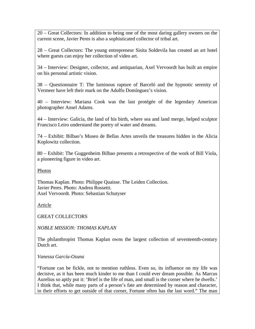20 – Great Collectors: In addition to being one of the most daring gallery owners on the current scene, Javier Peres is also a sophisticated collector of tribal art.

28 – Great Collectors: The young entrepreneur Sisita Soldevila has created an art hotel where guests can enjoy her collection of video art.

34 – Interview: Designer, collector, and antiquarian, Axel Vervoordt has built an empire on his personal artistic vision.

38 – Questionnaire T: The luminous rapture of Barceló and the hypnotic serenity of Vermeer have left their mark on the Adolfo Domínguez's vision.

40 – Interview: Mariana Cook was the last protégée of the legendary American photographer Ansel Adams.

44 – Interview: Galicia, the land of his birth, where sea and land merge, helped sculptor Francisco Leiro understand the poetry of water and dreams.

74 – Exhibit: Bilbao's Museo de Bellas Artes unveils the treasures hidden in the Alicia Koplowitz collection.

80 – Exhibit: The Guggenheim Bilbao presents a retrospective of the work of Bill Viola, a pioneering figure in video art.

Photos

Thomas Kaplan. Photo: Philippe Quaisse. The Leiden Collection. Javier Peres. Photo: Andrea Rossetti. Axel Vervoordt. Photo: Sebastian Schutyser

Article

GREAT COLLECTORS

*NOBLE MISSION: THOMAS KAPLAN*

The philanthropist Thomas Kaplan owns the largest collection of seventeenth-century Dutch art.

*Vanessa García-Osuna*

"Fortune can be fickle, not to mention ruthless. Even so, its influence on my life was decisive, as it has been much kinder to me than I could ever dream possible. As Marcus Aurelius so aptly put it: 'Brief is the life of man, and small is the corner where he dwells.' I think that, while many parts of a person's fate are determined by reason and character, in their efforts to get outside of that corner, Fortune often has the last word." The man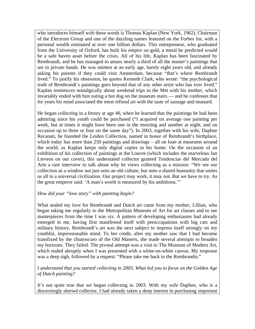who introduces himself with these words is Thomas Kaplan (New York, 1962), Chairman of the Electrum Group and one of the dazzling names featured on the Forbes list, with a personal wealth estimated at over one billion dollars. This entrepreneur, who graduated from the University of Oxford, has built his empire on gold, a metal he predicted would be a safe haven asset before the crisis. All of his life, Kaplan has been fascinated by Rembrandt, and he has managed to amass nearly a third of all the master's paintings that are in private hands. He was smitten at an early age, barely eight years old, and already asking his parents if they could visit Amsterdam, because "that's where Rembrandt lived." To justify his obsession, he quotes Kenneth Clark, who wrote: "the psychological truth of Rembrandt's paintings goes beyond that of any other artist who has ever lived." Kaplan reminisces nostalgically about weekend trips to the Met with his mother, which invariably ended with him eating a hot dog on the museum stairs — and he confesses that for years his mind associated the most refined art with the taste of sausage and mustard.

He began collecting in a frenzy at age 40, when he learned that the paintings he had been admiring since his youth could be purchased ("I acquired on average one painting per week, but at times it might have been one in the morning and another at night, and on occasion up to three or four on the same day"). In 2003, together with his wife, Daphne Recanati, he founded the Leiden Collection, named in honor of Rembrandt's birthplace, which today has more than 250 paintings and drawings – all on loan at museums around the world, as Kaplan keeps only digital copies in his home. On the occasion of an exhibition of his collection of paintings at the Louvre (which includes the marvelous Jan Lievens on our cover), this understated collector granted Tendencias del Mercado del Arte a rare interview to talk about why he views collecting as a mission: "We see our collection as a window not just onto an old culture, but onto a shared humanity that unites us all in a universal civilization. Our project may work, it may not. But we have to try. As the great emperor said: 'A man's worth is measured by his ambitions.'"

#### *How did your "love story" with painting begin?*

What sealed my love for Rembrandt and Dutch art came from my mother, Lillian, who began taking me regularly to the Metropolitan Museum of Art for art classes and to see masterpieces from the time I was six. A pattern of developing enthusiasms had already emerged in me, having first manifested itself with preoccupations with big cats and military history. Rembrandt's art was the next subject to impress itself strongly on my youthful, impressionable mind. To her credit, after my mother saw that I had become transfixed by the chiaroscuro of the Old Masters, she made several attempts to broaden my horizons. They failed. The pivotal attempt was a visit to The Museum of Modern Art, which ended abruptly when I was presented with a white-on-white canvas. My response was a deep sigh, followed by a request: "Please take me back to the Rembrandts."

*I understand that you started collecting in 2003. What led you to focus on the Golden Age of Dutch painting?*

It's not quite true that we began collecting in 2003. With my wife Daphne, who is a discerningly shrewd collector, I had already taken a deep interest in purchasing important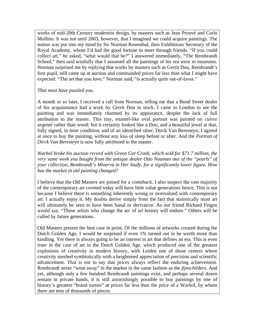works of mid-20th Century modernist design, by masters such as Jean Prouvé and Carlo Mollino. It was not until 2003, however, that I imagined we could acquire paintings. The notion was put into my mind by Sir Norman Rosenthal, then Exhibitions Secretary of the Royal Academy, whom I'd had the good fortune to meet through friends. "If you could collect art," he asked, "what would that be?" I answered immediately, "The Rembrandt School," then said wistfully that I assumed all the paintings of his era were in museums. Norman surprised me by replying that works by masters such as Gerrit Dou, Rembrandt's first pupil, still came up at auction and commanded prices far less than what I might have expected. "The art that you love," Norman said, "is actually quite out-of-favor."

*That must have puzzled you.*

A month or so later, I received a call from Norman, telling me that a Bond Street dealer of his acquaintance had a work by Gerrit Dou in stock. I came to London to see the painting and was immediately charmed by its appearance, despite the lack of full attribution to the master. This tiny, enamel-like oval portrait was painted on *cuivre argenté* rather than wood; but it certainly looked like a Dou, and a beautiful jewel at that, fully signed, in mint condition, and of an identified sitter, Dirck Van Beresteyn. I agreed at once to buy the painting, without any loss of sleep before or after. And the *Portrait of Dirck Van Beresteyn* is now fully attributed to the master.

*Warhol broke his auction record with Green Car Crash, which sold for \$71.7 million, the very same week you bought from the antique dealer Otto Nauman one of the "pearls" of your collection, Rembrandt's Minerva in Her Study, for a significantly lower figure. How has the market in old painting changed?*

I believe that the Old Masters are poised for a comeback. I also suspect the vast majority of the contemporary art coveted today will have little value generations hence. This is not because I believe there is something inherently wrong or overvalued with contemporary art. I actually enjoy it. My doubts derive simply from the fact that statistically most art will ultimately be seen to have been banal or derivative. As our friend Richard Feigen would say, "Those artists who change the arc of art history will endure." Others will be culled by future generations.

Old Masters present the best case in point. Of the millions of artworks created during the Dutch Golden Age, I would be surprised if even 1% turned out to be worth more than kindling. Yet there is always going to be an interest in art that defines an era. This is even truer in the case of art in the Dutch Golden Age, which produced one of the greatest explosions of creativity in modern history, with Leiden one of those centers where creativity meshed symbiotically with a heightened appreciation of precision and scientific advancement. That is not to say that prices always reflect the enduring achievement. Rembrandt never "went away" in the market in the same fashion as the *fijnschilders*. And yet, although only a few hundred Rembrandt paintings exist, and perhaps several dozen remain in private hands, it is still astonishingly possible to buy paintings by one of history's greatest "brand names" at prices far less than the price of a Warhol, by whom there are tens of thousands of pieces.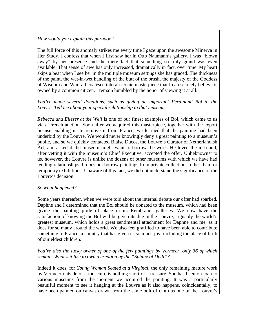#### *How would you explain this paradox?*

The full force of this anomaly strikes me every time I gaze upon the awesome Minerva in Her Study. I confess that when I first saw her in Otto Naumann's gallery, I was "blown away" by her presence and the mere fact that something so truly grand was even available. That sense of awe has only increased, dramatically in fact, over time. My heart skips a beat when I see her in the multiple museum settings she has graced. The thickness of the paint, the wet-in-wet handling of the butt of the brush, the majesty of the Goddess of Wisdom and War, all coalesce into an iconic masterpiece that I can scarcely believe is owned by a common citizen. I remain humbled by the honor of viewing it at all.

*You've made several donations, such as giving an important Ferdinand Bol to the Louvre. Tell me about your special relationship to that museum.*

*Rebecca and Eliezer at the Well* is one of our finest examples of Bol, which came to us via a French auction. Soon after we acquired this masterpiece, together with the export license enabling us to remove it from France, we learned that the painting had been underbid by the Louvre. We would never knowingly deny a great painting to a museum's public, and so we quickly contacted Blaise Ducos, the Louvre's Curator of Netherlandish Art, and asked if the museum might want to borrow the work. He loved the idea and, after vetting it with the museum's Chief Executive, accepted the offer. Unbeknownst to us, however, the Louvre is unlike the dozens of other museums with which we have had lending relationships. It does not borrow paintings from private collections, other than for temporary exhibitions. Unaware of this fact, we did not understand the significance of the Louvre's decision.

#### *So what happened?*

Some years thereafter, when we were told about the internal debate our offer had sparked, Daphne and I determined that the Bol should be donated to the museum, which had been giving the painting pride of place in its Rembrandt galleries. We now have the satisfaction of knowing the Bol will be given its due in the Louvre, arguably the world's greatest museum, which holds a great sentimental attachment for Daphne and me, as it does for so many around the world. We also feel gratified to have been able to contribute something to France, a country that has given us so much joy, including the place of birth of our eldest children.

*You're also the lucky owner of one of the few paintings by Vermeer, only 36 of which remain. What's it like to own a creation by the "Sphinx of Delft"?*

Indeed it does, for *Young Woman Seated at a Virginal*, the only remaining mature work by Vermeer outside of a museum, is nothing short of a treasure. She has been on loan to various museums from the moment we acquired the painting. It was a particularly beautiful moment to see it hanging at the Louvre as it also happens, coincidentally, to have been painted on canvas drawn from the same bolt of cloth as one of the Louvre's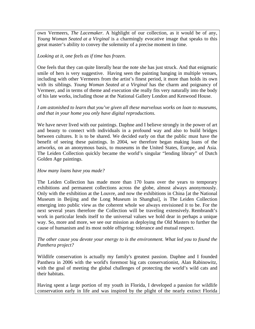own Vermeers, *The Lacemaker*. A highlight of our collection, as it would be of any, *Young Woman Seated at a Virginal* is a charmingly evocative image that speaks to this great master's ability to convey the solemnity of a precise moment in time.

#### *Looking at it, one feels as if time has frozen.*

One feels that they can quite literally hear the note she has just struck. And that enigmatic smile of hers is very suggestive. Having seen the painting hanging in multiple venues, including with other Vermeers from the artist's finest period, it more than holds its own with its siblings. *Young Woman Seated at a Virginal* has the charm and poignancy of Vermeer, and in terms of theme and execution she really fits very naturally into the body of his late works, including those at the National Gallery London and Kenwood House.

#### *I am astonished to learn that you've given all these marvelous works on loan to museums, and that in your home you only have digital reproductions.*

We have never lived with our paintings. Daphne and I believe strongly in the power of art and beauty to connect with individuals in a profound way and also to build bridges between cultures. It is to be shared. We decided early on that the public must have the benefit of seeing these paintings. In 2004, we therefore began making loans of the artworks, on an anonymous basis, to museums in the United States, Europe, and Asia. The Leiden Collection quickly became the world's singular "lending library" of Dutch Golden Age paintings.

#### *How many loans have you made?*

The Leiden Collection has made more than 170 loans over the years to temporary exhibitions and permanent collections across the globe, almost always anonymously. Only with the exhibition at the Louvre, and now the exhibitions in China [at the National Museum in Beijing and the Long Museum in Shanghai], is The Leiden Collection emerging into public view as the coherent whole we always envisioned it to be. For the next several years therefore the Collection will be traveling extensively. Rembrandt's work in particular lends itself to the universal values we hold dear in perhaps a unique way. So, more and more, we see our mission as deploying the Old Masters to further the cause of humanism and its most noble offspring: tolerance and mutual respect.

#### *The other cause you devote your energy to is the environment. What led you to found the Panthera project?*

Wildlife conservation is actually my family's greatest passion. Daphne and I founded Panthera in 2006 with the world's foremost big cats conservationist, Alan Rabinowitz, with the goal of meeting the global challenges of protecting the world's wild cats and their habitats.

Having spent a large portion of my youth in Florida, I developed a passion for wildlife conservation early in life and was inspired by the plight of the nearly extinct Florida